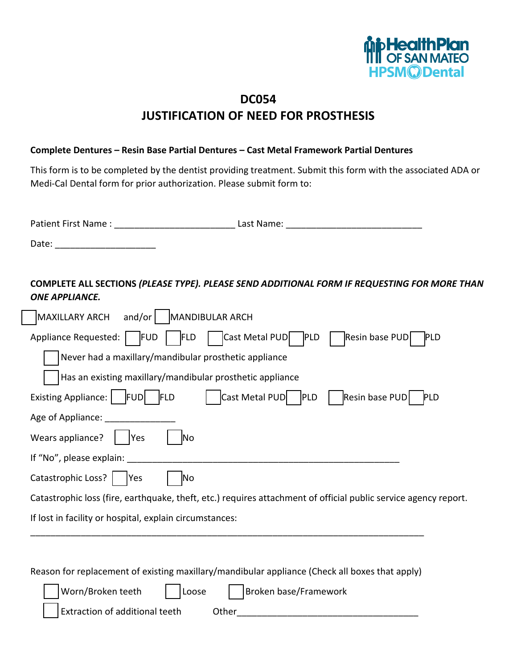

## **DC054 JUSTIFICATION OF NEED FOR PROSTHESIS**

## **Complete Dentures – Resin Base Partial Dentures – Cast Metal Framework Partial Dentures**

This form is to be completed by the dentist providing treatment. Submit this form with the associated ADA or Medi-Cal Dental form for prior authorization. Please submit form to:

| Patient First Name: | Last Name: |
|---------------------|------------|
| Date:               |            |

**COMPLETE ALL SECTIONS** *(PLEASE TYPE). PLEASE SEND ADDITIONAL FORM IF REQUESTING FOR MORE THAN ONE APPLIANCE.*

| and/or<br>MANDIBULAR ARCH<br>MAXILLARY ARCH                                                                     |  |  |
|-----------------------------------------------------------------------------------------------------------------|--|--|
| Cast Metal PUD   PLD<br>Resin base PUD<br>Appliance Requested:   FUD<br><b>PLD</b><br><b>FLD</b>                |  |  |
| Never had a maxillary/mandibular prosthetic appliance                                                           |  |  |
| Has an existing maxillary/mandibular prosthetic appliance                                                       |  |  |
| <b>Existing Appliance:</b><br>Cast Metal PUD   PLD<br>Resin base PUD<br><b>FUDI FLD</b><br><b>PLD</b>           |  |  |
| Age of Appliance:                                                                                               |  |  |
| Wears appliance?<br>lYes<br>lΝo                                                                                 |  |  |
| If "No", please explain:                                                                                        |  |  |
| Catastrophic Loss?  <br><b>Yes</b><br>ļΝo                                                                       |  |  |
| Catastrophic loss (fire, earthquake, theft, etc.) requires attachment of official public service agency report. |  |  |
| If lost in facility or hospital, explain circumstances:                                                         |  |  |
|                                                                                                                 |  |  |

Reason for replacement of existing maxillary/mandibular appliance (Check all boxes that apply)

| Worn/Broken teeth              | $\vert$ $\vert$ Loose | Broken base/Framework |
|--------------------------------|-----------------------|-----------------------|
| Extraction of additional teeth | Other                 |                       |